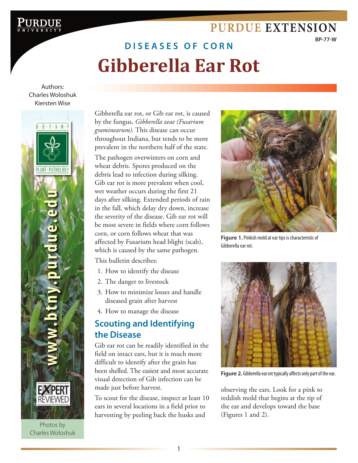# D I S E A S E S O F C O R N **Gibberella Ear Rot**

[Gibberella Ear Rot](http://www.purdue.edu/) **Purdue Extension**

Authors: Charles Woloshuk Kiersten Wise



Photos by Charles Woloshuk Gibberella ear rot, or Gib ear rot, is caused by the fungus, *Gibberella zeae (Fusarium graminearum).* This disease can occur throughout Indiana, but tends to be more prevalent in the northern half of the state.

The pathogen overwinters on corn and wheat debris. Spores produced on the debris lead to infection during silking. Gib ear rot is more prevalent when cool, wet weather occurs during the first 21 days after silking. Extended periods of rain in the fall, which delay dry down, increase the severity of the disease. Gib ear rot will be most severe in fields where corn follows corn, or corn follows wheat that was affected by Fusarium head blight (scab), which is caused by the same pathogen.

This bulletin describes:

- 1. How to identify the disease
- 2. The danger to livestock
- 3. How to minimize losses and handle diseased grain after harvest
- 4. How to manage the disease

# **Scouting and Identifying the Disease**

Gib ear rot can be readily identified in the field on intact ears, but it is much more difficult to identify after the grain has been shelled. The easiest and most accurate visual detection of Gib infection can be made just before harvest.

To scout for the disease, inspect at least 10 ears in several locations in a field prior to harvesting by peeling back the husks and



**[Purdue Extension](http://www.ag.purdue.edu/extension/pages/default.aspx)**

**BP-77-W**

**Figure 1.** Pinkish mold at ear tips is characteristic of Gibberella ear rot.



**Figure 2.** Gibberella ear rot typically affects only part of the ear.

observing the ears. Look for a pink to reddish mold that begins at the tip of the ear and develops toward the base (Figures 1 and 2).

1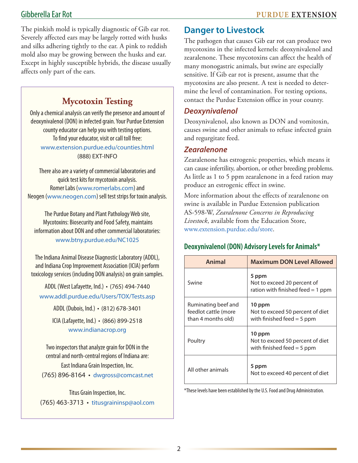The pinkish mold is typically diagnostic of Gib ear rot. Severely affected ears may be largely rotted with husks and silks adhering tightly to the ear. A pink to reddish mold also may be growing between the husks and ear. Except in highly susceptible hybrids, the disease usually affects only part of the ears.

# **Mycotoxin Testing**

Only a chemical analysis can verify the presence and amount of deoxynivalenol (DON) in infected grain. Your Purdue Extension county educator can help you with testing options. To find your educator, visit or call toll free: www.extension.purdue.edu/counties.html (888) EXT-INFO

There also are a variety of commercial laboratories and quick test kits for mycotoxin analysis. Romer Labs (www.romerlabs.com) and Neogen (www.neogen.com) sell test strips for toxin analysis.

The Purdue Botany and Plant Pathology Web site, Mycotoxins: Biosecurity and Food Safety, maintains information about DON and other commercial laboratories: www.btny.purdue.edu/NC1025

The Indiana Animal Disease Diagnostic Laboratory (ADDL), and Indiana Crop Improvement Association (ICIA) perform toxicology services (including DON analysis) on grain samples.

ADDL (West Lafayette, Ind.) • (765) 494-7440 www.addl.purdue.edu/Users/TOX/Tests.asp

ADDL (Dubois, Ind.) • (812) 678-3401

ICIA (Lafayette, Ind.) • (866) 899-2518 www.indianacrop.org

Two inspectors that analyze grain for DON in the central and north-central regions of Indiana are: East Indiana Grain Inspection, Inc. (765) 896-8164 • dwgross@comcast.net

Titus Grain Inspection, Inc.

(765) 463-3713 • titusgraininsp@aol.com

## **Danger to Livestock**

The pathogen that causes Gib ear rot can produce two mycotoxins in the infected kernels: deoxynivalenol and zearalenone. These mycotoxins can affect the health of many monogastric animals, but swine are especially sensitive. If Gib ear rot is present, assume that the mycotoxins are also present. A test is needed to determine the level of contamination. For testing options, contact the Purdue Extension office in your county.

### *Deoxynivalenol*

Deoxynivalenol, also known as DON and vomitoxin, causes swine and other animals to refuse infected grain and regurgitate feed.

#### *Zearalenone*

Zearalenone has estrogenic properties, which means it can cause infertility, abortion, or other breeding problems. As little as 1 to 5 ppm zearalenone in a feed ration may produce an estrogenic effect in swine.

More information about the effects of zearalenone on swine is available in Purdue Extension publication AS-598-W, *Zearalenone Concerns in Reproducing Livestock*, available from the Education Store, www.extension.purdue.edu/store.

#### **Deoxynivalenol (DON) Advisory Levels for Animals\***

| Animal                                                            | <b>Maximum DON Level Allowed</b>                                            |  |
|-------------------------------------------------------------------|-----------------------------------------------------------------------------|--|
| Swine                                                             | 5 ppm<br>Not to exceed 20 percent of<br>ration with finished feed $=$ 1 ppm |  |
| Ruminating beef and<br>feedlot cattle (more<br>than 4 months old) | 10 ppm<br>Not to exceed 50 percent of diet<br>with finished feed $=$ 5 ppm  |  |
| Poultry                                                           | 10 ppm<br>Not to exceed 50 percent of diet<br>with finished feed $=$ 5 ppm  |  |
| All other animals                                                 | 5 ppm<br>Not to exceed 40 percent of diet                                   |  |

\*These levels have been established by the U.S. Food and Drug Administration.